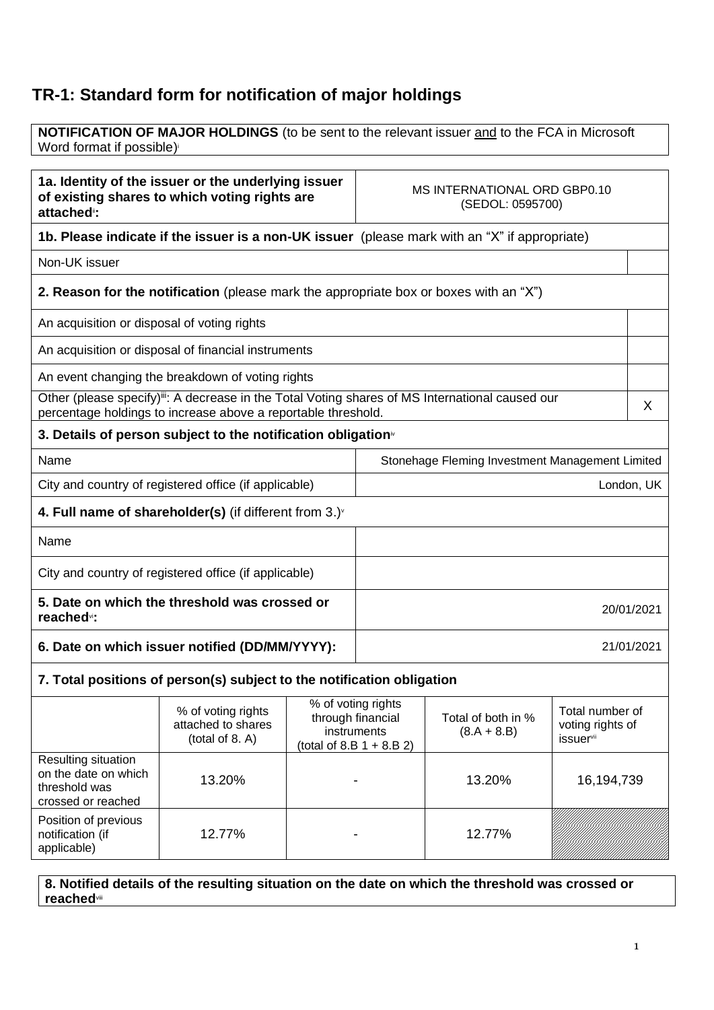## **TR-1: Standard form for notification of major holdings**

**NOTIFICATION OF MAJOR HOLDINGS** (to be sent to the relevant issuer and to the FCA in Microsoft Word format if possible)

| 1a. Identity of the issuer or the underlying issuer<br>of existing shares to which voting rights are<br>attached <sup>®</sup> :                                 |                                                                                               |  | MS INTERNATIONAL ORD GBP0.10<br>(SEDOL: 0595700)                                      |                                     |                                                                     |            |
|-----------------------------------------------------------------------------------------------------------------------------------------------------------------|-----------------------------------------------------------------------------------------------|--|---------------------------------------------------------------------------------------|-------------------------------------|---------------------------------------------------------------------|------------|
|                                                                                                                                                                 | 1b. Please indicate if the issuer is a non-UK issuer (please mark with an "X" if appropriate) |  |                                                                                       |                                     |                                                                     |            |
| Non-UK issuer                                                                                                                                                   |                                                                                               |  |                                                                                       |                                     |                                                                     |            |
|                                                                                                                                                                 | 2. Reason for the notification (please mark the appropriate box or boxes with an "X")         |  |                                                                                       |                                     |                                                                     |            |
| An acquisition or disposal of voting rights                                                                                                                     |                                                                                               |  |                                                                                       |                                     |                                                                     |            |
|                                                                                                                                                                 | An acquisition or disposal of financial instruments                                           |  |                                                                                       |                                     |                                                                     |            |
|                                                                                                                                                                 | An event changing the breakdown of voting rights                                              |  |                                                                                       |                                     |                                                                     |            |
| Other (please specify)ii: A decrease in the Total Voting shares of MS International caused our<br>percentage holdings to increase above a reportable threshold. |                                                                                               |  |                                                                                       | X                                   |                                                                     |            |
|                                                                                                                                                                 | 3. Details of person subject to the notification obligation <sup>®</sup>                      |  |                                                                                       |                                     |                                                                     |            |
| Name<br>Stonehage Fleming Investment Management Limited                                                                                                         |                                                                                               |  |                                                                                       |                                     |                                                                     |            |
| City and country of registered office (if applicable)                                                                                                           |                                                                                               |  |                                                                                       |                                     |                                                                     | London, UK |
|                                                                                                                                                                 | 4. Full name of shareholder(s) (if different from $3.$ )                                      |  |                                                                                       |                                     |                                                                     |            |
| Name                                                                                                                                                            |                                                                                               |  |                                                                                       |                                     |                                                                     |            |
| City and country of registered office (if applicable)                                                                                                           |                                                                                               |  |                                                                                       |                                     |                                                                     |            |
| 5. Date on which the threshold was crossed or<br>reached <sup>vi</sup> :                                                                                        |                                                                                               |  | 20/01/2021                                                                            |                                     |                                                                     |            |
| 6. Date on which issuer notified (DD/MM/YYYY):                                                                                                                  |                                                                                               |  | 21/01/2021                                                                            |                                     |                                                                     |            |
| 7. Total positions of person(s) subject to the notification obligation                                                                                          |                                                                                               |  |                                                                                       |                                     |                                                                     |            |
|                                                                                                                                                                 | % of voting rights<br>attached to shares<br>(total of 8. A)                                   |  | % of voting rights<br>through financial<br>instruments<br>(total of 8.B $1 + 8.B 2$ ) | Total of both in %<br>$(8.A + 8.B)$ | Total number of<br>voting rights of<br><i>issuer</i> <sup>vii</sup> |            |
| <b>Doculting cituation</b>                                                                                                                                      |                                                                                               |  |                                                                                       |                                     |                                                                     |            |

| Resulting situation<br>on the date on which<br>threshold was<br>crossed or reached | 13.20% | 13.20% | 16,194,739 |
|------------------------------------------------------------------------------------|--------|--------|------------|
| Position of previous<br>notification (if<br>applicable)                            | 12.77% | 12.77% |            |

**8. Notified details of the resulting situation on the date on which the threshold was crossed or reached**viii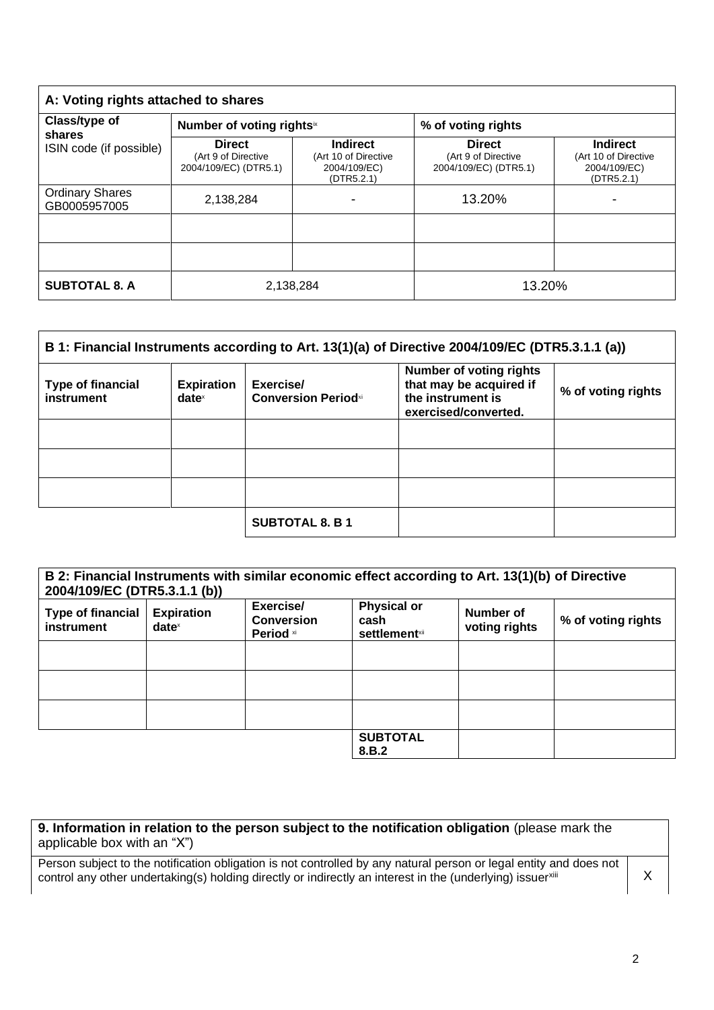| A: Voting rights attached to shares                |                                                               |                                                                       |                                                               |                                                                       |
|----------------------------------------------------|---------------------------------------------------------------|-----------------------------------------------------------------------|---------------------------------------------------------------|-----------------------------------------------------------------------|
| Class/type of<br>shares<br>ISIN code (if possible) | Number of voting rights <sup>ix</sup>                         |                                                                       | % of voting rights                                            |                                                                       |
|                                                    | <b>Direct</b><br>(Art 9 of Directive<br>2004/109/EC) (DTR5.1) | <b>Indirect</b><br>(Art 10 of Directive<br>2004/109/EC)<br>(DTR5.2.1) | <b>Direct</b><br>(Art 9 of Directive<br>2004/109/EC) (DTR5.1) | <b>Indirect</b><br>(Art 10 of Directive<br>2004/109/EC)<br>(DTR5.2.1) |
| <b>Ordinary Shares</b><br>GB0005957005             | 2,138,284                                                     | -                                                                     | 13.20%                                                        | -                                                                     |
|                                                    |                                                               |                                                                       |                                                               |                                                                       |
|                                                    |                                                               |                                                                       |                                                               |                                                                       |
| <b>SUBTOTAL 8. A</b>                               | 2,138,284                                                     |                                                                       | 13.20%                                                        |                                                                       |

| B 1: Financial Instruments according to Art. 13(1)(a) of Directive 2004/109/EC (DTR5.3.1.1 (a)) |                               |                                         |                                                                                                        |                    |
|-------------------------------------------------------------------------------------------------|-------------------------------|-----------------------------------------|--------------------------------------------------------------------------------------------------------|--------------------|
| <b>Type of financial</b><br>instrument                                                          | <b>Expiration</b><br>$date^x$ | Exercise/<br><b>Conversion Periodxi</b> | <b>Number of voting rights</b><br>that may be acquired if<br>the instrument is<br>exercised/converted. | % of voting rights |
|                                                                                                 |                               |                                         |                                                                                                        |                    |
|                                                                                                 |                               |                                         |                                                                                                        |                    |
|                                                                                                 |                               |                                         |                                                                                                        |                    |
|                                                                                                 |                               | <b>SUBTOTAL 8. B 1</b>                  |                                                                                                        |                    |

| B 2: Financial Instruments with similar economic effect according to Art. 13(1)(b) of Directive<br>2004/109/EC (DTR5.3.1.1 (b)) |                                      |                                             |                                                                |                            |                    |
|---------------------------------------------------------------------------------------------------------------------------------|--------------------------------------|---------------------------------------------|----------------------------------------------------------------|----------------------------|--------------------|
| <b>Type of financial</b><br>instrument                                                                                          | <b>Expiration</b><br>$date^{\times}$ | Exercise/<br><b>Conversion</b><br>Period xi | <b>Physical or</b><br>cash<br><b>settlement</b> <sup>xii</sup> | Number of<br>voting rights | % of voting rights |
|                                                                                                                                 |                                      |                                             |                                                                |                            |                    |
|                                                                                                                                 |                                      |                                             |                                                                |                            |                    |
|                                                                                                                                 |                                      |                                             |                                                                |                            |                    |
|                                                                                                                                 |                                      |                                             | <b>SUBTOTAL</b><br>8.B.2                                       |                            |                    |

| 9. Information in relation to the person subject to the notification obligation (please mark the |  |
|--------------------------------------------------------------------------------------------------|--|
| applicable box with an "X")                                                                      |  |

Person subject to the notification obligation is not controlled by any natural person or legal entity and does not control any other undertaking(s) holding directly or indirectly an interest in the (underlying) issuerxili X